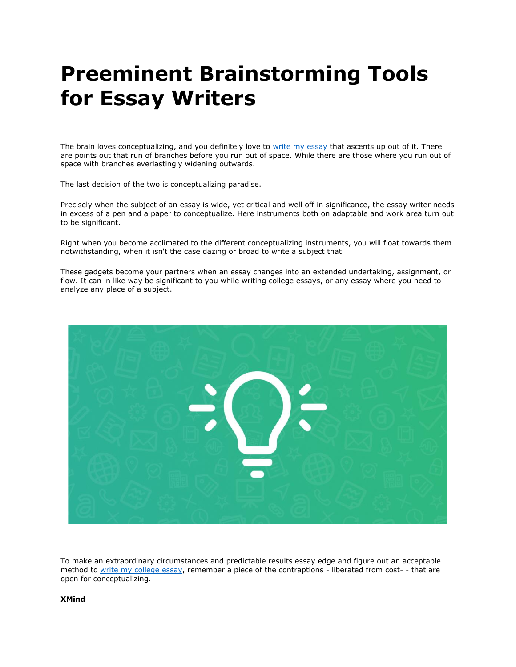# **Preeminent Brainstorming Tools for Essay Writers**

The brain loves conceptualizing, and you definitely love to [write my essay](https://writemyessayfast.net/) that ascents up out of it. There are points out that run of branches before you run out of space. While there are those where you run out of space with branches everlastingly widening outwards.

The last decision of the two is conceptualizing paradise.

Precisely when the subject of an essay is wide, yet critical and well off in significance, the essay writer needs in excess of a pen and a paper to conceptualize. Here instruments both on adaptable and work area turn out to be significant.

Right when you become acclimated to the different conceptualizing instruments, you will float towards them notwithstanding, when it isn't the case dazing or broad to write a subject that.

These gadgets become your partners when an essay changes into an extended undertaking, assignment, or flow. It can in like way be significant to you while writing college essays, or any essay where you need to analyze any place of a subject.



To make an extraordinary circumstances and predictable results essay edge and figure out an acceptable method to [write my college essay,](https://writemyessayfast.net/) remember a piece of the contraptions - liberated from cost- - that are open for conceptualizing.

## **XMind**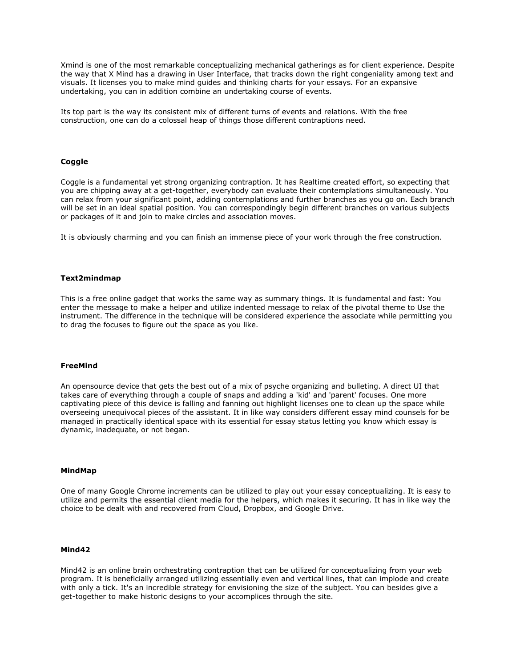Xmind is one of the most remarkable conceptualizing mechanical gatherings as for client experience. Despite the way that X Mind has a drawing in User Interface, that tracks down the right congeniality among text and visuals. It licenses you to make mind guides and thinking charts for your essays. For an expansive undertaking, you can in addition combine an undertaking course of events.

Its top part is the way its consistent mix of different turns of events and relations. With the free construction, one can do a colossal heap of things those different contraptions need.

#### **Coggle**

Coggle is a fundamental yet strong organizing contraption. It has Realtime created effort, so expecting that you are chipping away at a get-together, everybody can evaluate their contemplations simultaneously. You can relax from your significant point, adding contemplations and further branches as you go on. Each branch will be set in an ideal spatial position. You can correspondingly begin different branches on various subjects or packages of it and join to make circles and association moves.

It is obviously charming and you can finish an immense piece of your work through the free construction.

### **Text2mindmap**

This is a free online gadget that works the same way as summary things. It is fundamental and fast: You enter the message to make a helper and utilize indented message to relax of the pivotal theme to Use the instrument. The difference in the technique will be considered experience the associate while permitting you to drag the focuses to figure out the space as you like.

## **FreeMind**

An opensource device that gets the best out of a mix of psyche organizing and bulleting. A direct UI that takes care of everything through a couple of snaps and adding a 'kid' and 'parent' focuses. One more captivating piece of this device is falling and fanning out highlight licenses one to clean up the space while overseeing unequivocal pieces of the assistant. It in like way considers different essay mind counsels for be managed in practically identical space with its essential for essay status letting you know which essay is dynamic, inadequate, or not began.

#### **MindMap**

One of many Google Chrome increments can be utilized to play out your essay conceptualizing. It is easy to utilize and permits the essential client media for the helpers, which makes it securing. It has in like way the choice to be dealt with and recovered from Cloud, Dropbox, and Google Drive.

#### **Mind42**

Mind42 is an online brain orchestrating contraption that can be utilized for conceptualizing from your web program. It is beneficially arranged utilizing essentially even and vertical lines, that can implode and create with only a tick. It's an incredible strategy for envisioning the size of the subject. You can besides give a get-together to make historic designs to your accomplices through the site.